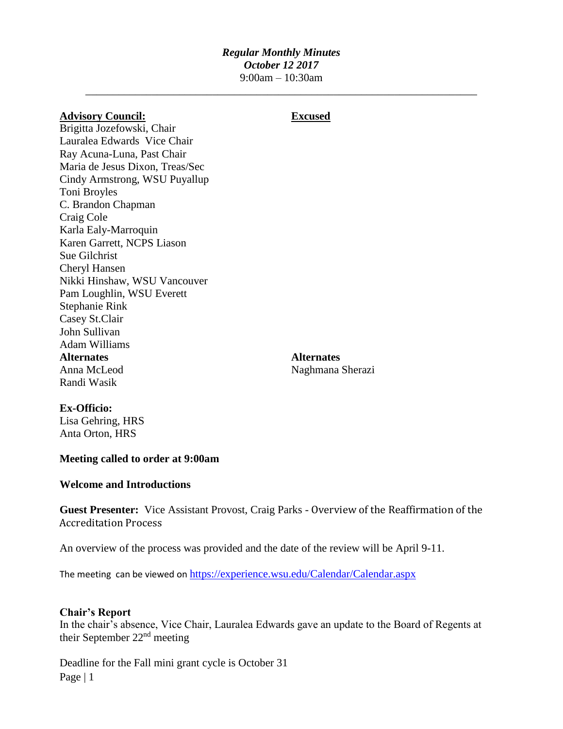### *Regular Monthly Minutes October 12 2017* 9:00am – 10:30am

\_\_\_\_\_\_\_\_\_\_\_\_\_\_\_\_\_\_\_\_\_\_\_\_\_\_\_\_\_\_\_\_\_\_\_\_\_\_\_\_\_\_\_\_\_\_\_\_\_\_\_\_\_\_\_\_\_\_\_\_\_\_\_\_\_\_\_\_\_\_\_

| <b>Advisory Council:</b>        | <b>Excused</b>    |
|---------------------------------|-------------------|
| Brigitta Jozefowski, Chair      |                   |
| Lauralea Edwards Vice Chair     |                   |
| Ray Acuna-Luna, Past Chair      |                   |
| Maria de Jesus Dixon, Treas/Sec |                   |
| Cindy Armstrong, WSU Puyallup   |                   |
| Toni Broyles                    |                   |
| C. Brandon Chapman              |                   |
| Craig Cole                      |                   |
| Karla Ealy-Marroquin            |                   |
| Karen Garrett, NCPS Liason      |                   |
| Sue Gilchrist                   |                   |
| Cheryl Hansen                   |                   |
| Nikki Hinshaw, WSU Vancouver    |                   |
| Pam Loughlin, WSU Everett       |                   |
| Stephanie Rink                  |                   |
| Casey St.Clair                  |                   |
| John Sullivan                   |                   |
| <b>Adam Williams</b>            |                   |
| <b>Alternates</b>               | <b>Alternates</b> |
| Anna McLeod                     | Naghmana Sherazi  |
| Randi Wasik                     |                   |
|                                 |                   |

### **Ex-Officio:**

Lisa Gehring, HRS Anta Orton, HRS

### **Meeting called to order at 9:00am**

### **Welcome and Introductions**

**Guest Presenter:** Vice Assistant Provost, Craig Parks - Overview of the Reaffirmation of the Accreditation Process

An overview of the process was provided and the date of the review will be April 9-11.

The meeting can be viewed on <https://experience.wsu.edu/Calendar/Calendar.aspx>

### **Chair's Report**

In the chair's absence, Vice Chair, Lauralea Edwards gave an update to the Board of Regents at their September 22nd meeting

Page | 1 Deadline for the Fall mini grant cycle is October 31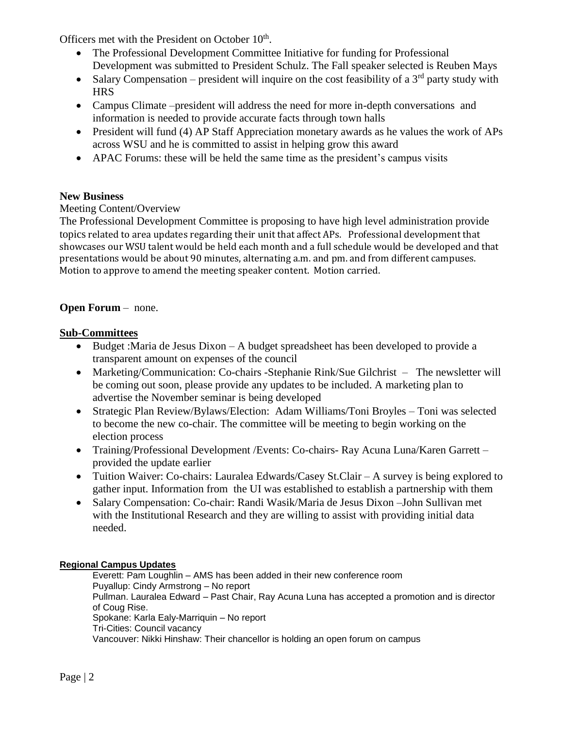Officers met with the President on October 10<sup>th</sup>.

- The Professional Development Committee Initiative for funding for Professional Development was submitted to President Schulz. The Fall speaker selected is Reuben Mays
- Salary Compensation president will inquire on the cost feasibility of a  $3<sup>rd</sup>$  party study with **HRS**
- Campus Climate –president will address the need for more in-depth conversations and information is needed to provide accurate facts through town halls
- President will fund (4) AP Staff Appreciation monetary awards as he values the work of APs across WSU and he is committed to assist in helping grow this award
- APAC Forums: these will be held the same time as the president's campus visits

# **New Business**

# Meeting Content/Overview

The Professional Development Committee is proposing to have high level administration provide topics related to area updates regarding their unit that affect APs. Professional development that showcases our WSU talent would be held each month and a full schedule would be developed and that presentations would be about 90 minutes, alternating a.m. and pm. and from different campuses. Motion to approve to amend the meeting speaker content. Motion carried.

## **Open Forum** – none.

## **Sub-Committees**

- Budget :Maria de Jesus Dixon A budget spreadsheet has been developed to provide a transparent amount on expenses of the council
- Marketing/Communication: Co-chairs -Stephanie Rink/Sue Gilchrist The newsletter will be coming out soon, please provide any updates to be included. A marketing plan to advertise the November seminar is being developed
- Strategic Plan Review/Bylaws/Election: Adam Williams/Toni Broyles Toni was selected to become the new co-chair. The committee will be meeting to begin working on the election process
- Training/Professional Development /Events: Co-chairs- Ray Acuna Luna/Karen Garrett provided the update earlier
- Tuition Waiver: Co-chairs: Lauralea Edwards/Casey St.Clair A survey is being explored to gather input. Information from the UI was established to establish a partnership with them
- Salary Compensation: Co-chair: Randi Wasik/Maria de Jesus Dixon –John Sullivan met with the Institutional Research and they are willing to assist with providing initial data needed.

### **Regional Campus Updates**

Everett: Pam Loughlin – AMS has been added in their new conference room Puyallup: Cindy Armstrong – No report Pullman. Lauralea Edward – Past Chair, Ray Acuna Luna has accepted a promotion and is director of Coug Rise. Spokane: Karla Ealy-Marriquin – No report Tri-Cities: Council vacancy Vancouver: Nikki Hinshaw: Their chancellor is holding an open forum on campus